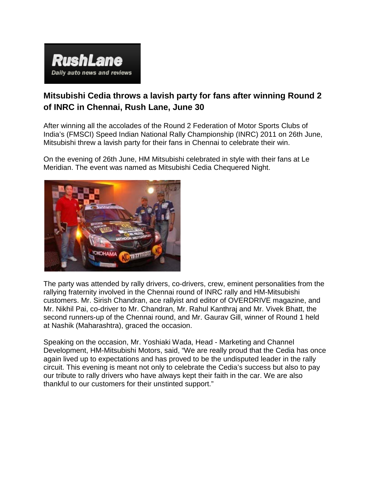

## **Mitsubishi Cedia throws a lavish party for fans after winning Round 2 of INRC in Chennai, Rush Lane, June 30**

After winning all the accolades of the Round 2 Federation of Motor Sports Clubs of India's (FMSCI) Speed Indian National Rally Championship (INRC) 2011 on 26th June, Mitsubishi threw a lavish party for their fans in Chennai to celebrate their win.

On the evening of 26th June, HM Mitsubishi celebrated in style with their fans at Le Meridian. The event was named as Mitsubishi Cedia Chequered Night.



The party was attended by rally drivers, co-drivers, crew, eminent personalities from the rallying fraternity involved in the Chennai round of INRC rally and HM-Mitsubishi customers. Mr. Sirish Chandran, ace rallyist and editor of OVERDRIVE magazine, and Mr. Nikhil Pai, co-driver to Mr. Chandran, Mr. Rahul Kanthraj and Mr. Vivek Bhatt, the second runners-up of the Chennai round, and Mr. Gaurav Gill, winner of Round 1 held at Nashik (Maharashtra), graced the occasion.

Speaking on the occasion, Mr. Yoshiaki Wada, Head - Marketing and Channel Development, HM-Mitsubishi Motors, said, "We are really proud that the Cedia has once again lived up to expectations and has proved to be the undisputed leader in the rally circuit. This evening is meant not only to celebrate the Cedia's success but also to pay our tribute to rally drivers who have always kept their faith in the car. We are also thankful to our customers for their unstinted support."